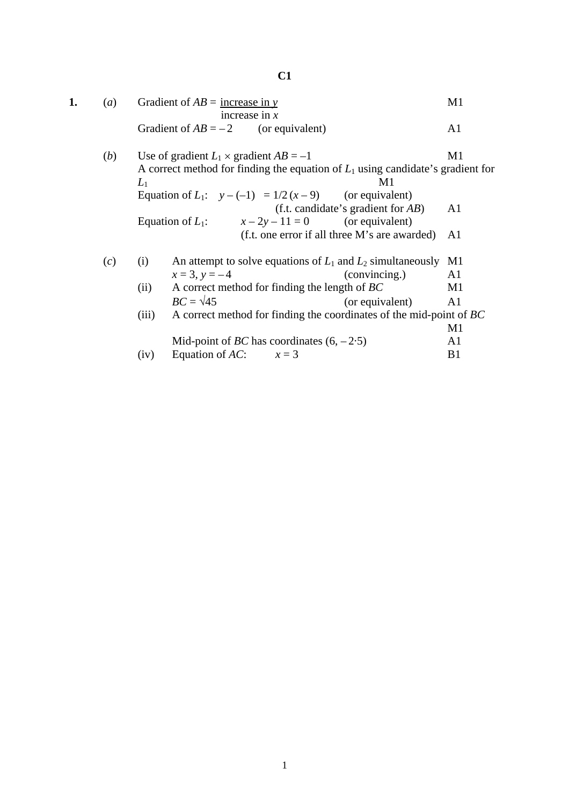| (a) | Gradient of $AB$ = increase in y      |                 |  |
|-----|---------------------------------------|-----------------|--|
|     |                                       | increase in $x$ |  |
|     | Gradient of $AB = -2$ (or equivalent) |                 |  |

(*b*) Use of gradient  $L_1 \times$  gradient  $AB = -1$  M1 A correct method for finding the equation of  $L_1$  using candidate's gradient for  $L_1$  M1 Equation of  $L_1$ :  $y - (-1) = 1/2(x - 9)$  (or equivalent) (f.t. candidate's gradient for *AB*) A1 Equation of  $L_1$ :  $x - 2y - 11 = 0$  (or equivalent) (f.t. one error if all three M's are awarded) A1

| (c) |                                                        | An attempt to solve equations of $L_1$ and $L_2$ simultaneously     |                 | - M1 |
|-----|--------------------------------------------------------|---------------------------------------------------------------------|-----------------|------|
|     |                                                        | $x = 3, y = -4$                                                     | (convincing.)   | Al   |
|     | A correct method for finding the length of $BC$<br>(i) |                                                                     |                 | M1   |
|     |                                                        | $BC = \sqrt{45}$                                                    | (or equivalent) | A1   |
|     | (111)                                                  | A correct method for finding the coordinates of the mid-point of BC |                 |      |
|     |                                                        |                                                                     |                 | M1   |
|     |                                                        | Mid-point of <i>BC</i> has coordinates $(6, -2.5)$                  |                 |      |

(iv) Equation of *AC*:  $x = 3$  B1

## **C1**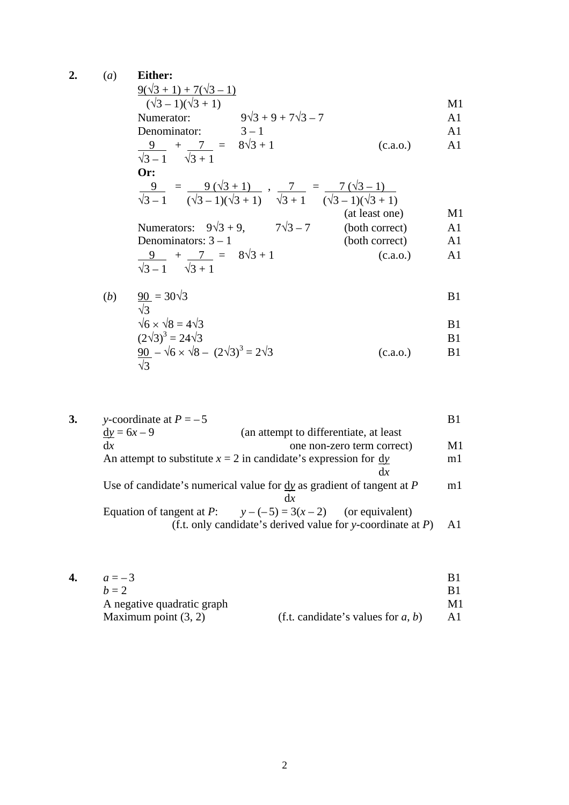**2.** (*a*) **Either:**

Example 3

\n
$$
\frac{9(\sqrt{3} + 1) + 7(\sqrt{3} - 1)}{(\sqrt{3} - 1)(\sqrt{3} + 1)}
$$
\nM1

\nM2

Numerator:  $9\sqrt{3} + 9 + 7\sqrt{3} - 7$  A1 Denominator:  $3-1$  A1

$$
\frac{9}{\sqrt{3}-1} + \frac{7}{\sqrt{3}+1} = 8\sqrt{3}+1
$$
 (c.a.o.) A1

Or:  
\n
$$
\frac{9}{\sqrt{3}-1} = \frac{9(\sqrt{3}+1)}{(\sqrt{3}-1)(\sqrt{3}+1)}, \frac{7}{\sqrt{3}+1} = \frac{7(\sqrt{3}-1)}{(\sqrt{3}-1)(\sqrt{3}+1)}
$$
\n(at least one)  
\n
$$
\text{Numerators: } 9\sqrt{3}+9, \qquad 7\sqrt{3}-7 \qquad \text{(both correct)} \qquad \text{A1}
$$

Denominators: 
$$
3 - 1
$$
 (both correct)  
\n $\frac{9}{\sqrt{3} - 1} + \frac{7}{\sqrt{3} + 1} = 8\sqrt{3} + 1$  (c.a.o.) A1

(b) 
$$
\frac{90}{\sqrt{3}} = 30\sqrt{3}
$$
 B1

$$
\sqrt{6} \times \sqrt{8} = 4\sqrt{3}
$$
 B1

$$
(2\sqrt{3})^3 = 24\sqrt{3}
$$
  
\n
$$
\frac{90}{\sqrt{3}} - \sqrt{6} \times \sqrt{8} - (2\sqrt{3})^3 = 2\sqrt{3}
$$
  
\nB1  
\n(c.a.o.)  
\nB1

3. 
$$
y
$$
-coordinate at  $P = -5$   
\n $\frac{dy}{dx} = 6x - 9$  (an attempt to differentiate, at least one non-zero term correct)   
\nAn attempt to substitute  $x = 2$  in candidate's expression for  $\frac{dy}{dx}$    
\nUse of candidate's numerical value for  $\frac{dy}{dx}$  as gradient of tangent at  $P$    
\nEquation of tangent at  $P$ :  $y - (-5) = 3(x - 2)$  (or equivalent)   
\n(f.t. only candidate's derived value for  $y$ -coordinate at  $P$ ) A1

| 4. | $a = -3$                   |                                       |    |
|----|----------------------------|---------------------------------------|----|
|    | $h=2$                      |                                       |    |
|    | A negative quadratic graph |                                       | M1 |
|    | Maximum point $(3, 2)$     | (f.t. candidate's values for $a, b$ ) |    |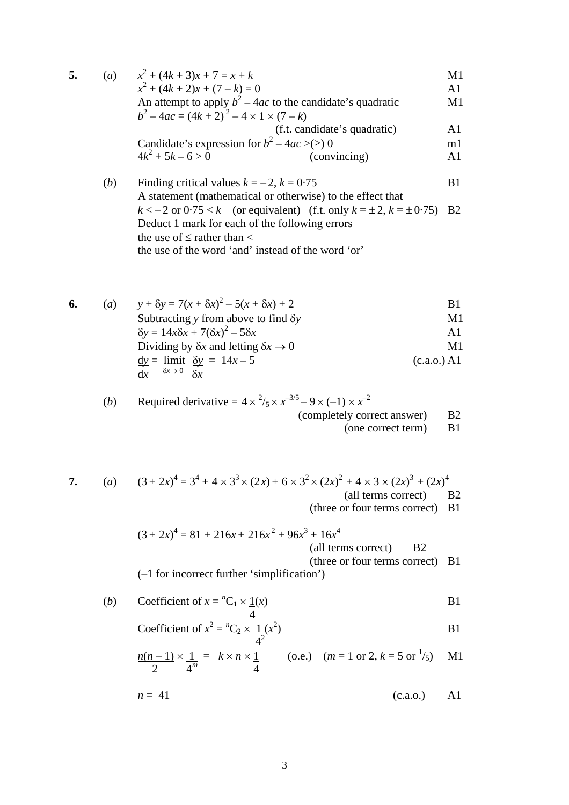| 5. | (a) | $x^2 + (4k + 3)x + 7 = x + k$<br>$x^2 + (4k + 2)x + (7 - k) = 0$<br>An attempt to apply $b^2 - 4ac$ to the candidate's quadratic | M1             |
|----|-----|----------------------------------------------------------------------------------------------------------------------------------|----------------|
|    |     |                                                                                                                                  | A1             |
|    |     |                                                                                                                                  | M1             |
|    |     | $b^2-4ac = (4k+2)^2-4 \times 1 \times (7-k)$                                                                                     |                |
|    |     | (f.t. candidate's quadratic)                                                                                                     | A1             |
|    |     | Candidate's expression for $b^2 - 4ac$ >(≥) 0                                                                                    | m <sub>1</sub> |
|    |     | $4k^2 + 5k - 6 > 0$<br>(convincing)                                                                                              | A <sub>1</sub> |
|    |     |                                                                                                                                  |                |
|    | (b) | Finding critical values $k = -2$ , $k = 0.75$                                                                                    |                |

- A statement (mathematical or otherwise) to the effect that  $k < -2$  or  $0.75 < k$  (or equivalent) (f.t. only  $k = \pm 2$ ,  $k = \pm 0.75$ ) B2 Deduct 1 mark for each of the following errors the use of  $\leq$  rather than  $\lt$ the use of the word 'and' instead of the word 'or'
- **6.** (*a*)  $y + \delta y = 7(x + \delta x)^2 5(x + \delta x) + 2$  B1 Subtracting *y* from above to find δ*y* M1  $\delta y = 14x\delta x + 7(\delta x)^2 - 5\delta x$  A1 Dividing by  $\delta x$  and letting  $\delta x \to 0$  M1  $dy =$  limit  $\delta y = 14x - 5$  (c.a.o.) A1 d*x*  $\delta x \rightarrow 0$   $\delta x$

(b) Required derivative = 
$$
4 \times \frac{2}{5} \times x^{-3/5} - 9 \times (-1) \times x^{-2}
$$

(completely correct answer) B2

(one correct term) B1

7. (a) 
$$
(3+2x)^4 = 3^4 + 4 \times 3^3 \times (2x) + 6 \times 3^2 \times (2x)^2 + 4 \times 3 \times (2x)^3 + (2x)^4
$$
 (all terms correct)

(three or four terms correct) B1

$$
(3+2x)^4 = 81 + 216x + 216x^2 + 96x^3 + 16x^4
$$
  
(all terms correct) B2  
(three or four terms correct) B1

(–1 for incorrect further 'simplification')

(b) Coefficient of 
$$
x = {}^{n}C_1 \times \frac{1}{4}(x)
$$
 B1

Coefficient of 
$$
x^2 = {}^nC_2 \times \frac{1}{4^2}(x^2)
$$

$$
\frac{n(n-1)\times\frac{1}{4^m}}{2} = k \times n \times \frac{1}{4}
$$
 (o.e.)  $(m = 1 \text{ or } 2, k = 5 \text{ or } \frac{1}{5})$  M1

$$
n = 41 \tag{c.a.o.)} \qquad \text{A1}
$$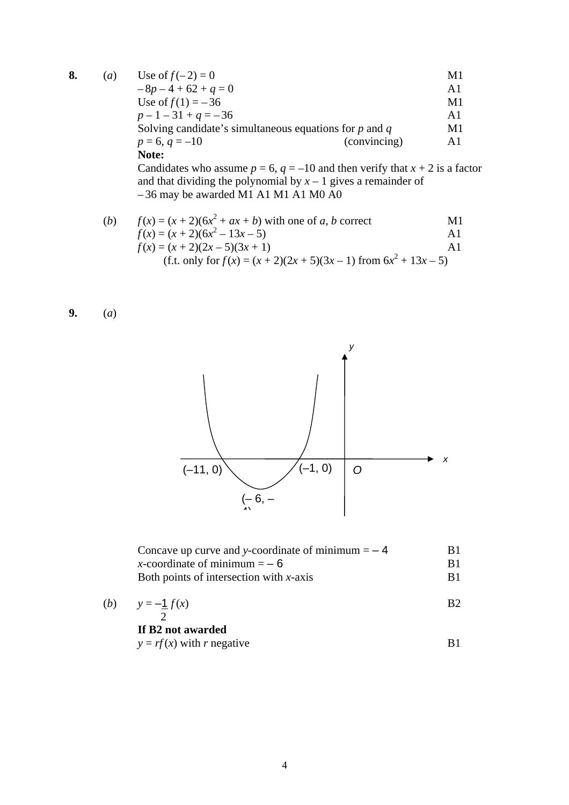| 8. | $\left( a\right)$ | Use of $f(-2) = 0$                                         | M1             |
|----|-------------------|------------------------------------------------------------|----------------|
|    |                   | $-8p-4+62+q=0$                                             | A1             |
|    |                   | Use of $f(1) = -36$                                        | M1             |
|    |                   | $p-1-31+q=-36$                                             | A1             |
|    |                   | Solving candidate's simultaneous equations for $p$ and $q$ | M1             |
|    |                   | (convincing)<br>$p = 6, q = -10$                           | A <sub>1</sub> |
|    |                   | Note:                                                      |                |

Candidates who assume  $p = 6$ ,  $q = -10$  and then verify that  $x + 2$  is a factor and that dividing the polynomial by  $x - 1$  gives a remainder of – 36 may be awarded M1 A1 M1 A1 M0 A0

(*b*)  $f(x) = (x + 2)(6x^2 + ax + b)$  with one of *a*, *b* correct M1  $f(x) = (x + 2)(6x^2 - 13x - 5)$  A1  $f(x) = (x + 2)(2x - 5)(3x + 1)$  A1 (f.t. only for  $f(x) = (x + 2)(2x + 5)(3x - 1)$  from  $6x^2 + 13x - 5$ )





| Concave up curve and y-coordinate of minimum $=$ - 4 |  |
|------------------------------------------------------|--|
| x-coordinate of minimum $=-6$                        |  |
| Both points of intersection with $x$ -axis           |  |
| $(1)$ $(1)$                                          |  |

$$
\begin{array}{ll}\n\text{(b)} & \text{y} = -\frac{1}{2}f(x) \\
\text{B2}\n\end{array}
$$

## **If B2 not awarded**

 $y = rf(x)$  with *r* negative B1